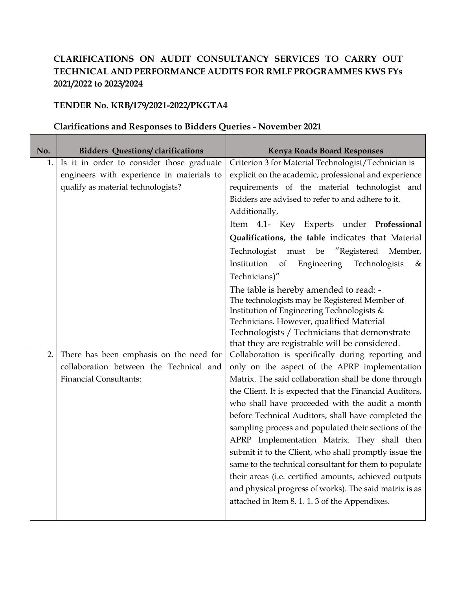## **CLARIFICATIONS ON AUDIT CONSULTANCY SERVICES TO CARRY OUT TECHNICAL AND PERFORMANCE AUDITS FOR RMLF PROGRAMMES KWS FYs 2021/2022 to 2023/2024**

## **TENDER No. KRB/179/2021-2022/PKGTA4**

## **No. Bidders Questions/ clarifications Kenya Roads Board Responses** 1. Is it in order to consider those graduate engineers with experience in materials to qualify as material technologists? Criterion 3 for Material Technologist/Technician is explicit on the academic, professional and experience requirements of the material technologist and Bidders are advised to refer to and adhere to it. Additionally, Item 4.1- Key Experts under **Professional Qualifications, the table** indicates that Material Technologist must be "Registered Member, Institution of Engineering Technologists & Technicians)" The table is hereby amended to read: - The technologists may be Registered Member of Institution of Engineering Technologists & Technicians. However, qualified Material Technologists / Technicians that demonstrate that they are registrable will be considered. 2. There has been emphasis on the need for collaboration between the Technical and Financial Consultants: Collaboration is specifically during reporting and only on the aspect of the APRP implementation Matrix. The said collaboration shall be done through the Client. It is expected that the Financial Auditors, who shall have proceeded with the audit a month before Technical Auditors, shall have completed the sampling process and populated their sections of the APRP Implementation Matrix. They shall then submit it to the Client, who shall promptly issue the same to the technical consultant for them to populate their areas (i.e. certified amounts, achieved outputs and physical progress of works). The said matrix is as attached in Item 8. 1. 1. 3 of the Appendixes.

## **Clarifications and Responses to Bidders Queries - November 2021**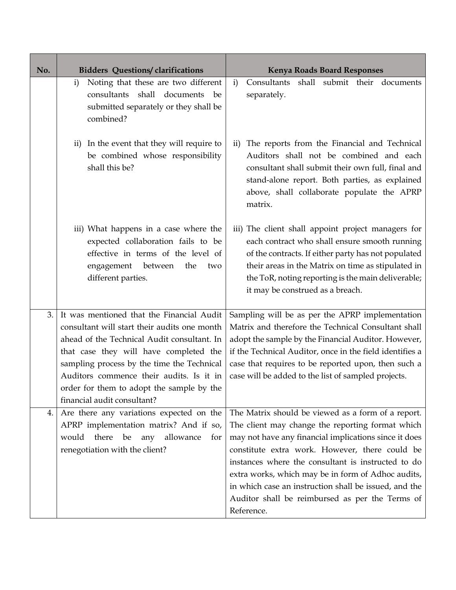| No. | <b>Bidders Questions/clarifications</b>                                                                                                                                                                                                                                                                                                                  | <b>Kenya Roads Board Responses</b>                                                                                                                                                                                                                                                                                                                                                                                                                      |
|-----|----------------------------------------------------------------------------------------------------------------------------------------------------------------------------------------------------------------------------------------------------------------------------------------------------------------------------------------------------------|---------------------------------------------------------------------------------------------------------------------------------------------------------------------------------------------------------------------------------------------------------------------------------------------------------------------------------------------------------------------------------------------------------------------------------------------------------|
|     | Noting that these are two different<br>$\mathbf{i}$<br>consultants shall documents<br>be<br>submitted separately or they shall be<br>combined?                                                                                                                                                                                                           | Consultants shall submit their documents<br>$\mathbf{i}$<br>separately.                                                                                                                                                                                                                                                                                                                                                                                 |
|     | ii) In the event that they will require to<br>be combined whose responsibility<br>shall this be?                                                                                                                                                                                                                                                         | The reports from the Financial and Technical<br>$\rm ii)$<br>Auditors shall not be combined and each<br>consultant shall submit their own full, final and<br>stand-alone report. Both parties, as explained<br>above, shall collaborate populate the APRP<br>matrix.                                                                                                                                                                                    |
|     | iii) What happens in a case where the<br>expected collaboration fails to be<br>effective in terms of the level of<br>engagement between<br>the<br>two<br>different parties.                                                                                                                                                                              | iii) The client shall appoint project managers for<br>each contract who shall ensure smooth running<br>of the contracts. If either party has not populated<br>their areas in the Matrix on time as stipulated in<br>the ToR, noting reporting is the main deliverable;<br>it may be construed as a breach.                                                                                                                                              |
| 3.  | It was mentioned that the Financial Audit<br>consultant will start their audits one month<br>ahead of the Technical Audit consultant. In<br>that case they will have completed the<br>sampling process by the time the Technical<br>Auditors commence their audits. Is it in<br>order for them to adopt the sample by the<br>financial audit consultant? | Sampling will be as per the APRP implementation<br>Matrix and therefore the Technical Consultant shall<br>adopt the sample by the Financial Auditor. However,<br>if the Technical Auditor, once in the field identifies a<br>case that requires to be reported upon, then such a<br>case will be added to the list of sampled projects.                                                                                                                 |
| 4.  | Are there any variations expected on the<br>APRP implementation matrix? And if so,<br>there<br>would<br>be<br>allowance<br>any<br>for<br>renegotiation with the client?                                                                                                                                                                                  | The Matrix should be viewed as a form of a report.<br>The client may change the reporting format which<br>may not have any financial implications since it does<br>constitute extra work. However, there could be<br>instances where the consultant is instructed to do<br>extra works, which may be in form of Adhoc audits,<br>in which case an instruction shall be issued, and the<br>Auditor shall be reimbursed as per the Terms of<br>Reference. |